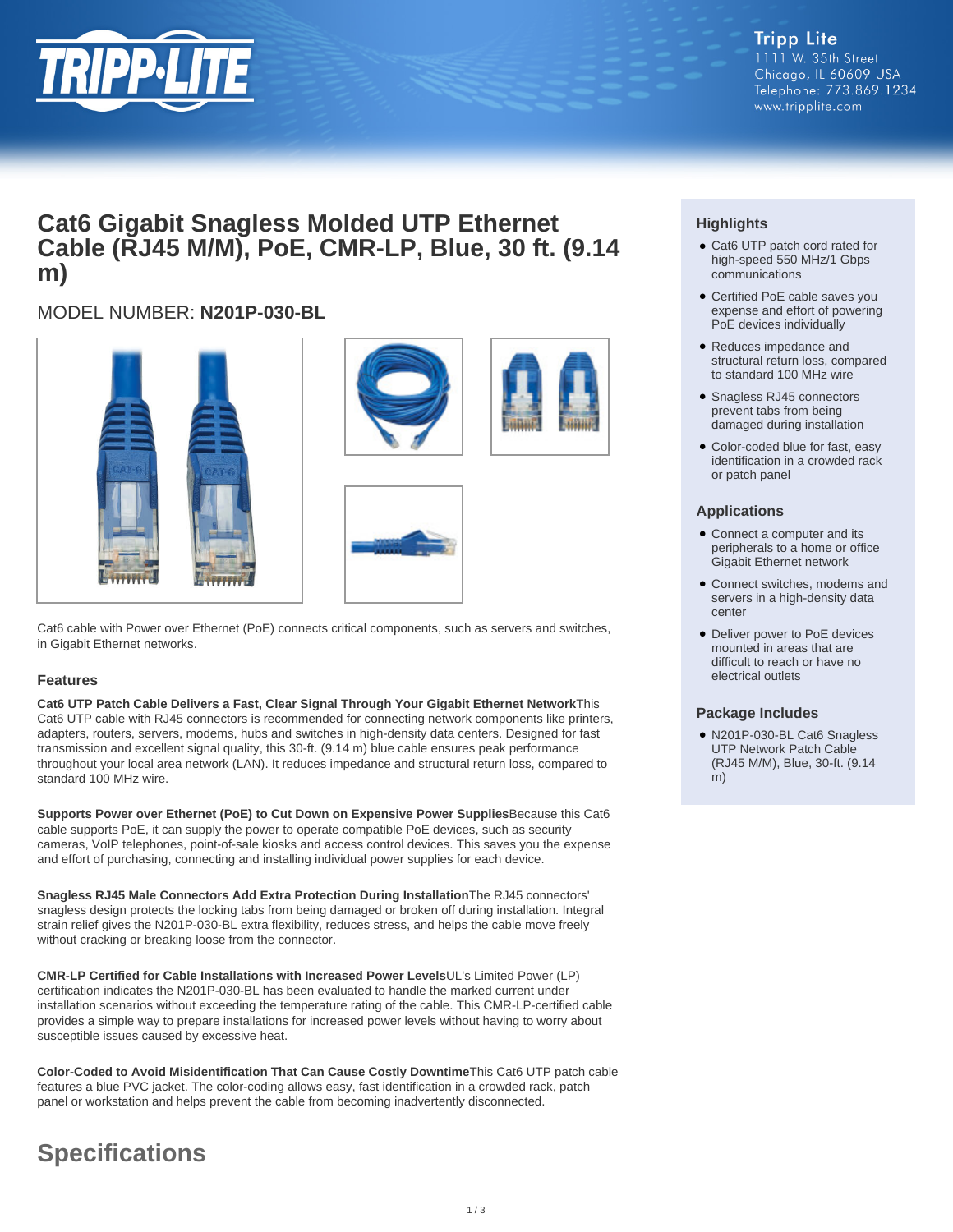

# **Cat6 Gigabit Snagless Molded UTP Ethernet Cable (RJ45 M/M), PoE, CMR-LP, Blue, 30 ft. (9.14 m)**

# MODEL NUMBER: **N201P-030-BL**







Cat6 cable with Power over Ethernet (PoE) connects critical components, such as servers and switches, in Gigabit Ethernet networks.

### **Features**

**Cat6 UTP Patch Cable Delivers a Fast, Clear Signal Through Your Gigabit Ethernet Network**This Cat6 UTP cable with RJ45 connectors is recommended for connecting network components like printers, adapters, routers, servers, modems, hubs and switches in high-density data centers. Designed for fast transmission and excellent signal quality, this 30-ft. (9.14 m) blue cable ensures peak performance throughout your local area network (LAN). It reduces impedance and structural return loss, compared to standard 100 MHz wire.

**Supports Power over Ethernet (PoE) to Cut Down on Expensive Power Supplies**Because this Cat6 cable supports PoE, it can supply the power to operate compatible PoE devices, such as security cameras, VoIP telephones, point-of-sale kiosks and access control devices. This saves you the expense and effort of purchasing, connecting and installing individual power supplies for each device.

**Snagless RJ45 Male Connectors Add Extra Protection During Installation**The RJ45 connectors' snagless design protects the locking tabs from being damaged or broken off during installation. Integral strain relief gives the N201P-030-BL extra flexibility, reduces stress, and helps the cable move freely without cracking or breaking loose from the connector.

**CMR-LP Certified for Cable Installations with Increased Power Levels**UL's Limited Power (LP) certification indicates the N201P-030-BL has been evaluated to handle the marked current under installation scenarios without exceeding the temperature rating of the cable. This CMR-LP-certified cable provides a simple way to prepare installations for increased power levels without having to worry about susceptible issues caused by excessive heat.

**Color-Coded to Avoid Misidentification That Can Cause Costly Downtime**This Cat6 UTP patch cable features a blue PVC jacket. The color-coding allows easy, fast identification in a crowded rack, patch panel or workstation and helps prevent the cable from becoming inadvertently disconnected.

# **Specifications**

## **Highlights**

- Cat6 UTP patch cord rated for high-speed 550 MHz/1 Gbps communications
- Certified PoE cable saves you expense and effort of powering PoE devices individually
- Reduces impedance and structural return loss, compared to standard 100 MHz wire
- Snagless RJ45 connectors prevent tabs from being damaged during installation
- Color-coded blue for fast, easy identification in a crowded rack or patch panel

### **Applications**

- Connect a computer and its peripherals to a home or office Gigabit Ethernet network
- Connect switches, modems and servers in a high-density data center
- Deliver power to PoE devices mounted in areas that are difficult to reach or have no electrical outlets

#### **Package Includes**

● N201P-030-BL Cat6 Snagless UTP Network Patch Cable (RJ45 M/M), Blue, 30-ft. (9.14 m)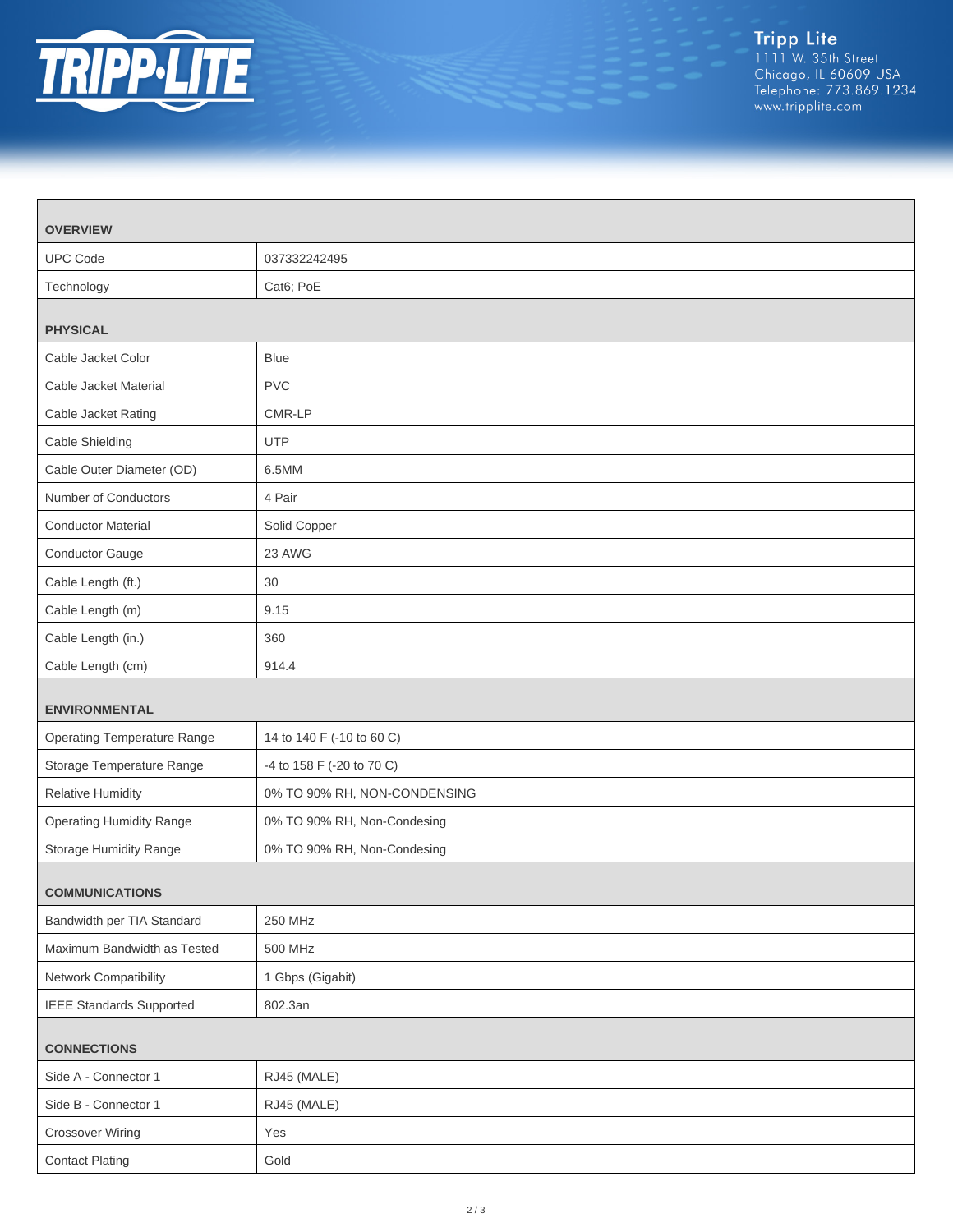

| <b>OVERVIEW</b>                    |                              |
|------------------------------------|------------------------------|
| <b>UPC Code</b>                    | 037332242495                 |
| Technology                         | Cat6; PoE                    |
| <b>PHYSICAL</b>                    |                              |
| Cable Jacket Color                 | <b>Blue</b>                  |
| Cable Jacket Material              | <b>PVC</b>                   |
| Cable Jacket Rating                | CMR-LP                       |
| Cable Shielding                    | <b>UTP</b>                   |
| Cable Outer Diameter (OD)          | 6.5MM                        |
| Number of Conductors               | 4 Pair                       |
| <b>Conductor Material</b>          | Solid Copper                 |
| Conductor Gauge                    | 23 AWG                       |
| Cable Length (ft.)                 | 30                           |
| Cable Length (m)                   | 9.15                         |
| Cable Length (in.)                 | 360                          |
| Cable Length (cm)                  | 914.4                        |
| <b>ENVIRONMENTAL</b>               |                              |
| <b>Operating Temperature Range</b> | 14 to 140 F (-10 to 60 C)    |
| Storage Temperature Range          | -4 to 158 F (-20 to 70 C)    |
| Relative Humidity                  | 0% TO 90% RH, NON-CONDENSING |
| <b>Operating Humidity Range</b>    | 0% TO 90% RH, Non-Condesing  |
| Storage Humidity Range             | 0% TO 90% RH, Non-Condesing  |
| <b>COMMUNICATIONS</b>              |                              |
| Bandwidth per TIA Standard         | 250 MHz                      |
| Maximum Bandwidth as Tested        | 500 MHz                      |
| Network Compatibility              | 1 Gbps (Gigabit)             |
| <b>IEEE Standards Supported</b>    | 802.3an                      |
| <b>CONNECTIONS</b>                 |                              |
| Side A - Connector 1               | RJ45 (MALE)                  |
| Side B - Connector 1               | RJ45 (MALE)                  |
| <b>Crossover Wiring</b>            | Yes                          |
| <b>Contact Plating</b>             | Gold                         |